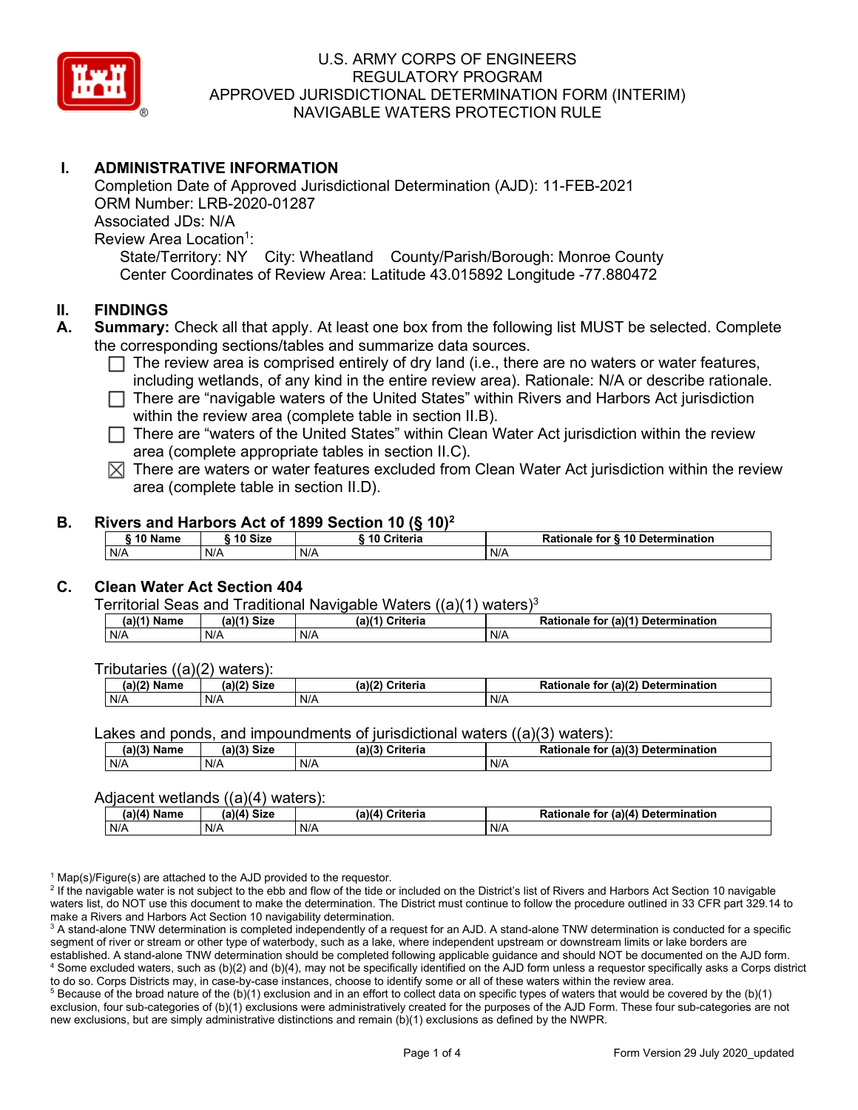

# **I. ADMINISTRATIVE INFORMATION**

Completion Date of Approved Jurisdictional Determination (AJD): 11-FEB-2021 ORM Number: LRB-2020-01287 Associated JDs: N/A Review Area Location<sup>1</sup>: State/Territory: NY City: Wheatland County/Parish/Borough: Monroe County Center Coordinates of Review Area: Latitude 43.015892 Longitude -77.880472

### **II. FINDINGS**

- **A. Summary:** Check all that apply. At least one box from the following list MUST be selected. Complete the corresponding sections/tables and summarize data sources.
	- $\Box$  The review area is comprised entirely of dry land (i.e., there are no waters or water features, including wetlands, of any kind in the entire review area). Rationale: N/A or describe rationale.
	- There are "navigable waters of the United States" within Rivers and Harbors Act jurisdiction within the review area (complete table in section II.B).
	- $\Box$  There are "waters of the United States" within Clean Water Act jurisdiction within the review area (complete appropriate tables in section II.C).
	- $\boxtimes$  There are waters or water features excluded from Clean Water Act jurisdiction within the review area (complete table in section II.D).

### **B. Rivers and Harbors Act of 1899 Section 10 (§ 10)2**

| $\frac{1}{2}$           |     |                        |                                  |  |  |  |  |  |  |  |
|-------------------------|-----|------------------------|----------------------------------|--|--|--|--|--|--|--|
| 10 Size<br><b>AA 51</b> |     | <b>Criteria</b><br>-10 | Rationale for § 10 Determination |  |  |  |  |  |  |  |
| N/A                     | N/A | N/A                    | N/A                              |  |  |  |  |  |  |  |

# **C. Clean Water Act Section 404**

Territorial Seas and Traditional Navigable Waters  $((a)(1)$  waters)<sup>3</sup>

| Name | $M41$ Circ | 3143          | for $(a)(1)$  |
|------|------------|---------------|---------------|
| ۱۵ م | ær         | $\sim$ $\sim$ | Determination |
| la I | จเ∠ь       | ;riteria      | Rationale     |
| N/A  | N/A        | N/A           | N/A           |

Tributaries ((a)(2) waters):

| $(a)$ ( $\degree$<br>$\sim$ $\sim$<br>C <sub>1</sub><br>Name<br>JIZE<br>,,, |     | (a)(2)<br>Criteria | (a)(2) Determination<br>Dational<br>tor<br>nale<br>тіг |  |  |
|-----------------------------------------------------------------------------|-----|--------------------|--------------------------------------------------------|--|--|
| N/A                                                                         | N/A | N/A                | N/A                                                    |  |  |

Lakes and ponds, and impoundments of jurisdictional waters ((a)(3) waters):

| $(a)(3)$ $^{\prime\prime}$ | $(a)(3)$ Size | (a)(?')  | for (a)(3) Determination |
|----------------------------|---------------|----------|--------------------------|
| Name                       |               | Criteria | Rationale                |
| N/A                        | N/A           | N/A      | N/A                      |

#### Adjacent wetlands ((a)(4) waters):

| . .<br>(a)(a)<br>Name | <b>Size</b><br>(a)(4) | (a)(4)<br>Criteria | (a)(4)<br>Determination<br>for<br>nale 1 |  |  |
|-----------------------|-----------------------|--------------------|------------------------------------------|--|--|
| N/A                   | N/A                   | N/A                | N/A                                      |  |  |

 $1$  Map(s)/Figure(s) are attached to the AJD provided to the requestor.

<sup>2</sup> If the navigable water is not subject to the ebb and flow of the tide or included on the District's list of Rivers and Harbors Act Section 10 navigable waters list, do NOT use this document to make the determination. The District must continue to follow the procedure outlined in 33 CFR part 329.14 to make a Rivers and Harbors Act Section 10 navigability determination.

<sup>3</sup> A stand-alone TNW determination is completed independently of a request for an AJD. A stand-alone TNW determination is conducted for a specific segment of river or stream or other type of waterbody, such as a lake, where independent upstream or downstream limits or lake borders are established. A stand-alone TNW determination should be completed following applicable guidance and should NOT be documented on the AJD form. <sup>4</sup> Some excluded waters, such as (b)(2) and (b)(4), may not be specifically identified on the AJD form unless a requestor specifically asks a Corps district to do so. Corps Districts may, in case-by-case instances, choose to identify some or all of these waters within the review area.

 $5$  Because of the broad nature of the (b)(1) exclusion and in an effort to collect data on specific types of waters that would be covered by the (b)(1) exclusion, four sub-categories of (b)(1) exclusions were administratively created for the purposes of the AJD Form. These four sub-categories are not new exclusions, but are simply administrative distinctions and remain (b)(1) exclusions as defined by the NWPR.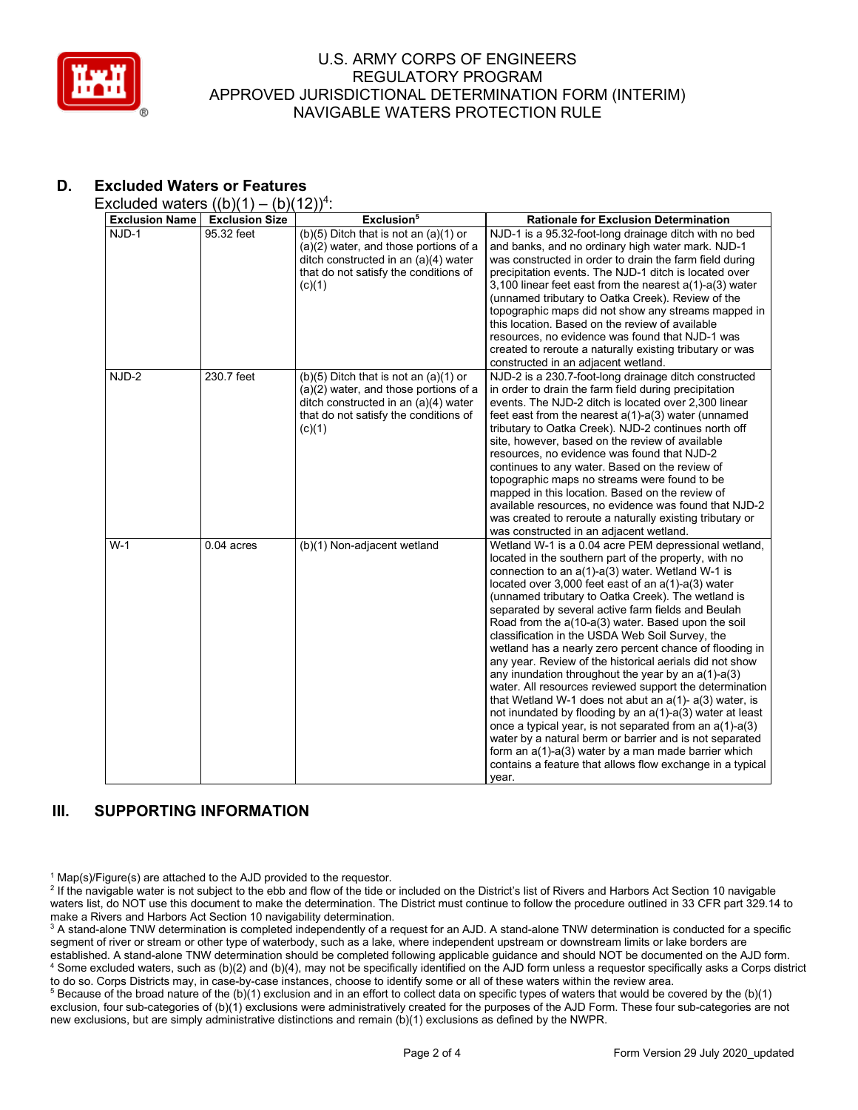

# **D. Excluded Waters or Features**

Excluded waters  $((b)(1) - (b)(12))^4$ :

| <b>Exclusion Name</b> | $\frac{1}{2}$<br><b>Exclusion Size</b> | (2)<br>Exclusion <sup>5</sup>                                                                                                                                                 | <b>Rationale for Exclusion Determination</b>                                                                                                                                                                                                                                                                                                                                                                                                                                                                                                                                                                                                                                                                                                                                                                                                                                                                                                                                                                                                                                    |
|-----------------------|----------------------------------------|-------------------------------------------------------------------------------------------------------------------------------------------------------------------------------|---------------------------------------------------------------------------------------------------------------------------------------------------------------------------------------------------------------------------------------------------------------------------------------------------------------------------------------------------------------------------------------------------------------------------------------------------------------------------------------------------------------------------------------------------------------------------------------------------------------------------------------------------------------------------------------------------------------------------------------------------------------------------------------------------------------------------------------------------------------------------------------------------------------------------------------------------------------------------------------------------------------------------------------------------------------------------------|
| NJD-1                 | 95.32 feet                             | $(b)(5)$ Ditch that is not an $(a)(1)$ or<br>(a)(2) water, and those portions of a<br>ditch constructed in an (a)(4) water<br>that do not satisfy the conditions of<br>(c)(1) | NJD-1 is a 95.32-foot-long drainage ditch with no bed<br>and banks, and no ordinary high water mark. NJD-1<br>was constructed in order to drain the farm field during<br>precipitation events. The NJD-1 ditch is located over<br>3,100 linear feet east from the nearest $a(1)$ - $a(3)$ water<br>(unnamed tributary to Oatka Creek). Review of the<br>topographic maps did not show any streams mapped in<br>this location. Based on the review of available<br>resources, no evidence was found that NJD-1 was<br>created to reroute a naturally existing tributary or was<br>constructed in an adjacent wetland.                                                                                                                                                                                                                                                                                                                                                                                                                                                            |
| NJD-2                 | 230.7 feet                             | $(b)(5)$ Ditch that is not an $(a)(1)$ or<br>(a)(2) water, and those portions of a<br>ditch constructed in an (a)(4) water<br>that do not satisfy the conditions of<br>(c)(1) | NJD-2 is a 230.7-foot-long drainage ditch constructed<br>in order to drain the farm field during precipitation<br>events. The NJD-2 ditch is located over 2,300 linear<br>feet east from the nearest $a(1)-a(3)$ water (unnamed<br>tributary to Oatka Creek). NJD-2 continues north off<br>site, however, based on the review of available<br>resources, no evidence was found that NJD-2<br>continues to any water. Based on the review of<br>topographic maps no streams were found to be<br>mapped in this location. Based on the review of<br>available resources, no evidence was found that NJD-2<br>was created to reroute a naturally existing tributary or<br>was constructed in an adjacent wetland.                                                                                                                                                                                                                                                                                                                                                                  |
| $W-1$                 | $0.04$ acres                           | (b)(1) Non-adjacent wetland                                                                                                                                                   | Wetland W-1 is a 0.04 acre PEM depressional wetland,<br>located in the southern part of the property, with no<br>connection to an a(1)-a(3) water. Wetland W-1 is<br>located over 3,000 feet east of an a(1)-a(3) water<br>(unnamed tributary to Oatka Creek). The wetland is<br>separated by several active farm fields and Beulah<br>Road from the a(10-a(3) water. Based upon the soil<br>classification in the USDA Web Soil Survey, the<br>wetland has a nearly zero percent chance of flooding in<br>any year. Review of the historical aerials did not show<br>any inundation throughout the year by an $a(1)-a(3)$<br>water. All resources reviewed support the determination<br>that Wetland W-1 does not abut an $a(1)$ - $a(3)$ water, is<br>not inundated by flooding by an a(1)-a(3) water at least<br>once a typical year, is not separated from an $a(1)$ - $a(3)$<br>water by a natural berm or barrier and is not separated<br>form an $a(1)$ - $a(3)$ water by a man made barrier which<br>contains a feature that allows flow exchange in a typical<br>year. |

# **III. SUPPORTING INFORMATION**

 $1$  Map(s)/Figure(s) are attached to the AJD provided to the requestor.

<sup>2</sup> If the navigable water is not subject to the ebb and flow of the tide or included on the District's list of Rivers and Harbors Act Section 10 navigable waters list, do NOT use this document to make the determination. The District must continue to follow the procedure outlined in 33 CFR part 329.14 to make a Rivers and Harbors Act Section 10 navigability determination.

<sup>3</sup> A stand-alone TNW determination is completed independently of a request for an AJD. A stand-alone TNW determination is conducted for a specific segment of river or stream or other type of waterbody, such as a lake, where independent upstream or downstream limits or lake borders are established. A stand-alone TNW determination should be completed following applicable guidance and should NOT be documented on the AJD form. <sup>4</sup> Some excluded waters, such as (b)(2) and (b)(4), may not be specifically identified on the AJD form unless a requestor specifically asks a Corps district to do so. Corps Districts may, in case-by-case instances, choose to identify some or all of these waters within the review area.

<sup>5</sup> Because of the broad nature of the (b)(1) exclusion and in an effort to collect data on specific types of waters that would be covered by the (b)(1) exclusion, four sub-categories of (b)(1) exclusions were administratively created for the purposes of the AJD Form. These four sub-categories are not new exclusions, but are simply administrative distinctions and remain (b)(1) exclusions as defined by the NWPR.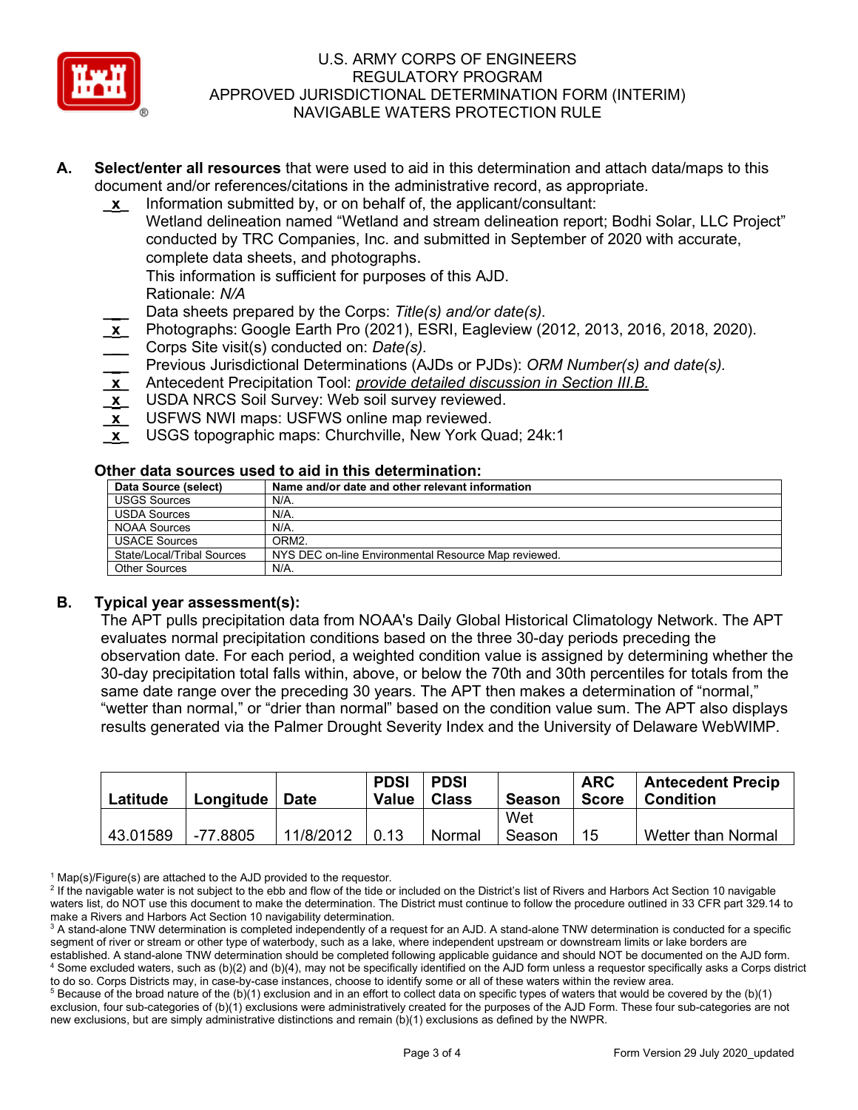

- **A. Select/enter all resources** that were used to aid in this determination and attach data/maps to this document and/or references/citations in the administrative record, as appropriate.
	- **\_x\_** Information submitted by, or on behalf of, the applicant/consultant: Wetland delineation named "Wetland and stream delineation report; Bodhi Solar, LLC Project" conducted by TRC Companies, Inc. and submitted in September of 2020 with accurate, complete data sheets, and photographs.

This information is sufficient for purposes of this AJD.

Rationale: *N/A* 

- **\_\_\_** Data sheets prepared by the Corps: *Title(s) and/or date(s).*
- **\_x\_** Photographs: Google Earth Pro (2021), ESRI, Eagleview (2012, 2013, 2016, 2018, 2020).
- **\_\_\_** Corps Site visit(s) conducted on: *Date(s).*
- **\_\_\_** Previous Jurisdictional Determinations (AJDs or PJDs): *ORM Number(s) and date(s).*
- **\_x\_** Antecedent Precipitation Tool: *provide detailed discussion in Section III.B.*
- **\_x\_** USDA NRCS Soil Survey: Web soil survey reviewed.
- **\_x\_** USFWS NWI maps: USFWS online map reviewed.
- **\_x\_** USGS topographic maps: Churchville, New York Quad; 24k:1

### **Other data sources used to aid in this determination:**

| Data Source (select)       | Name and/or date and other relevant information      |
|----------------------------|------------------------------------------------------|
| <b>USGS Sources</b>        | $N/A$ .                                              |
| <b>USDA Sources</b>        | $N/A$ .                                              |
| <b>NOAA Sources</b>        | $N/A$ .                                              |
| <b>USACE Sources</b>       | ORM <sub>2</sub>                                     |
| State/Local/Tribal Sources | NYS DEC on-line Environmental Resource Map reviewed. |
| <b>Other Sources</b>       | N/A.                                                 |

# **B. Typical year assessment(s):**

The APT pulls precipitation data from NOAA's Daily Global Historical Climatology Network. The APT evaluates normal precipitation conditions based on the three 30-day periods preceding the observation date. For each period, a weighted condition value is assigned by determining whether the 30-day precipitation total falls within, above, or below the 70th and 30th percentiles for totals from the same date range over the preceding 30 years. The APT then makes a determination of "normal," "wetter than normal," or "drier than normal" based on the condition value sum. The APT also displays results generated via the Palmer Drought Severity Index and the University of Delaware WebWIMP.

| Latitude | Longitude | <b>Date</b> | <b>PDSI</b><br>Value | PDSI<br>l Class | Season        | <b>ARC</b><br>Score | <b>Antecedent Precip</b><br><b>Condition</b> |
|----------|-----------|-------------|----------------------|-----------------|---------------|---------------------|----------------------------------------------|
| 43.01589 | -77.8805  | 11/8/2012   | 0.13                 |                 | Wet<br>Season | 15                  | Wetter than Normal                           |
|          |           |             |                      | Normal          |               |                     |                                              |

 $1$  Map(s)/Figure(s) are attached to the AJD provided to the requestor.

 $5$  Because of the broad nature of the (b)(1) exclusion and in an effort to collect data on specific types of waters that would be covered by the (b)(1) exclusion, four sub-categories of (b)(1) exclusions were administratively created for the purposes of the AJD Form. These four sub-categories are not new exclusions, but are simply administrative distinctions and remain (b)(1) exclusions as defined by the NWPR.

<sup>&</sup>lt;sup>2</sup> If the navigable water is not subject to the ebb and flow of the tide or included on the District's list of Rivers and Harbors Act Section 10 navigable waters list, do NOT use this document to make the determination. The District must continue to follow the procedure outlined in 33 CFR part 329.14 to make a Rivers and Harbors Act Section 10 navigability determination.

<sup>&</sup>lt;sup>3</sup> A stand-alone TNW determination is completed independently of a request for an AJD. A stand-alone TNW determination is conducted for a specific segment of river or stream or other type of waterbody, such as a lake, where independent upstream or downstream limits or lake borders are established. A stand-alone TNW determination should be completed following applicable guidance and should NOT be documented on the AJD form. <sup>4</sup> Some excluded waters, such as (b)(2) and (b)(4), may not be specifically identified on the AJD form unless a requestor specifically asks a Corps district to do so. Corps Districts may, in case-by-case instances, choose to identify some or all of these waters within the review area.